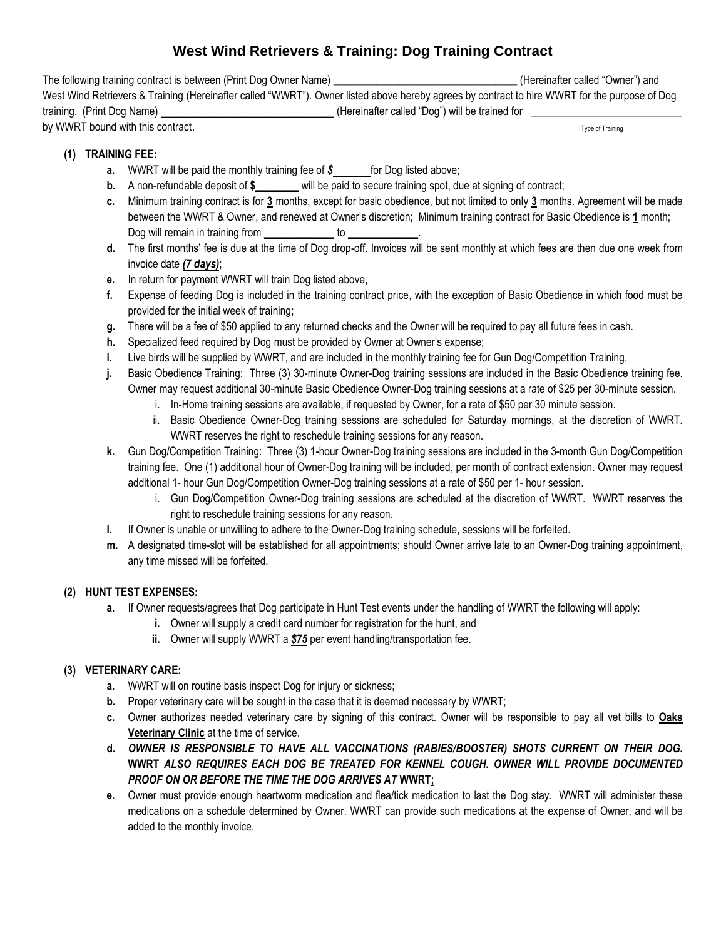# **West Wind Retrievers & Training: Dog Training Contract**

The following training contract is between (Print Dog Owner Name) **\_\_\_\_\_\_\_\_\_\_\_\_\_\_\_\_\_\_\_\_\_\_\_\_\_\_\_\_\_\_\_\_\_\_** (Hereinafter called "Owner") and West Wind Retrievers & Training (Hereinafter called "WWRT"). Owner listed above hereby agrees by contract to hire WWRT for the purpose of Dog training. (Print Dog Name) **\_\_\_\_\_\_\_\_\_\_\_\_\_\_\_\_\_\_\_\_\_\_\_\_\_\_\_\_\_\_\_\_** (Hereinafter called "Dog") will be trained for \_ by WWRT bound with this contract.

## **(1) TRAINING FEE:**

- **a.** WWRT will be paid the monthly training fee of  $\sin x$  for Dog listed above;
- **b.** A non-refundable deposit of  $\frac{2}{3}$  will be paid to secure training spot, due at signing of contract;
- **c.** Minimum training contract is for **3** months, except for basic obedience, but not limited to only **3** months. Agreement will be made between the WWRT & Owner, and renewed at Owner's discretion; Minimum training contract for Basic Obedience is **1** month; Dog will remain in training from **\_\_\_\_\_\_\_\_\_\_\_\_\_** to **\_\_\_\_\_\_\_\_\_\_\_\_\_**.
- **d.** The first months' fee is due at the time of Dog drop-off. Invoices will be sent monthly at which fees are then due one week from invoice date *(7 days)*;
- **e.** In return for payment WWRT will train Dog listed above,
- **f.** Expense of feeding Dog is included in the training contract price, with the exception of Basic Obedience in which food must be provided for the initial week of training;
- **g.** There will be a fee of \$50 applied to any returned checks and the Owner will be required to pay all future fees in cash.
- **h.** Specialized feed required by Dog must be provided by Owner at Owner's expense;
- **i.** Live birds will be supplied by WWRT, and are included in the monthly training fee for Gun Dog/Competition Training.
- **j.** Basic Obedience Training: Three (3) 30-minute Owner-Dog training sessions are included in the Basic Obedience training fee. Owner may request additional 30-minute Basic Obedience Owner-Dog training sessions at a rate of \$25 per 30-minute session.
	- i. In-Home training sessions are available, if requested by Owner, for a rate of \$50 per 30 minute session.
	- ii. Basic Obedience Owner-Dog training sessions are scheduled for Saturday mornings, at the discretion of WWRT. WWRT reserves the right to reschedule training sessions for any reason.
- **k.** Gun Dog/Competition Training: Three (3) 1-hour Owner-Dog training sessions are included in the 3-month Gun Dog/Competition training fee. One (1) additional hour of Owner-Dog training will be included, per month of contract extension. Owner may request additional 1- hour Gun Dog/Competition Owner-Dog training sessions at a rate of \$50 per 1- hour session.
	- i. Gun Dog/Competition Owner-Dog training sessions are scheduled at the discretion of WWRT. WWRT reserves the right to reschedule training sessions for any reason.
- **l.** If Owner is unable or unwilling to adhere to the Owner-Dog training schedule, sessions will be forfeited.
- **m.** A designated time-slot will be established for all appointments; should Owner arrive late to an Owner-Dog training appointment, any time missed will be forfeited.

## **(2) HUNT TEST EXPENSES:**

- **a.** If Owner requests/agrees that Dog participate in Hunt Test events under the handling of WWRT the following will apply:
	- **i.** Owner will supply a credit card number for registration for the hunt, and
	- **ii.** Owner will supply WWRT a *\$75* per event handling/transportation fee.

### **(3) VETERINARY CARE:**

- **a.** WWRT will on routine basis inspect Dog for injury or sickness;
- **b.** Proper veterinary care will be sought in the case that it is deemed necessary by WWRT;
- **c.** Owner authorizes needed veterinary care by signing of this contract. Owner will be responsible to pay all vet bills to **Oaks Veterinary Clinic** at the time of service.
- **d.** *OWNER IS RESPONSIBLE TO HAVE ALL VACCINATIONS (RABIES/BOOSTER) SHOTS CURRENT ON THEIR DOG.*  **WWRT** *ALSO REQUIRES EACH DOG BE TREATED FOR KENNEL COUGH. OWNER WILL PROVIDE DOCUMENTED PROOF ON OR BEFORE THE TIME THE DOG ARRIVES AT* **WWRT;**
- **e.** Owner must provide enough heartworm medication and flea/tick medication to last the Dog stay. WWRT will administer these medications on a schedule determined by Owner. WWRT can provide such medications at the expense of Owner, and will be added to the monthly invoice.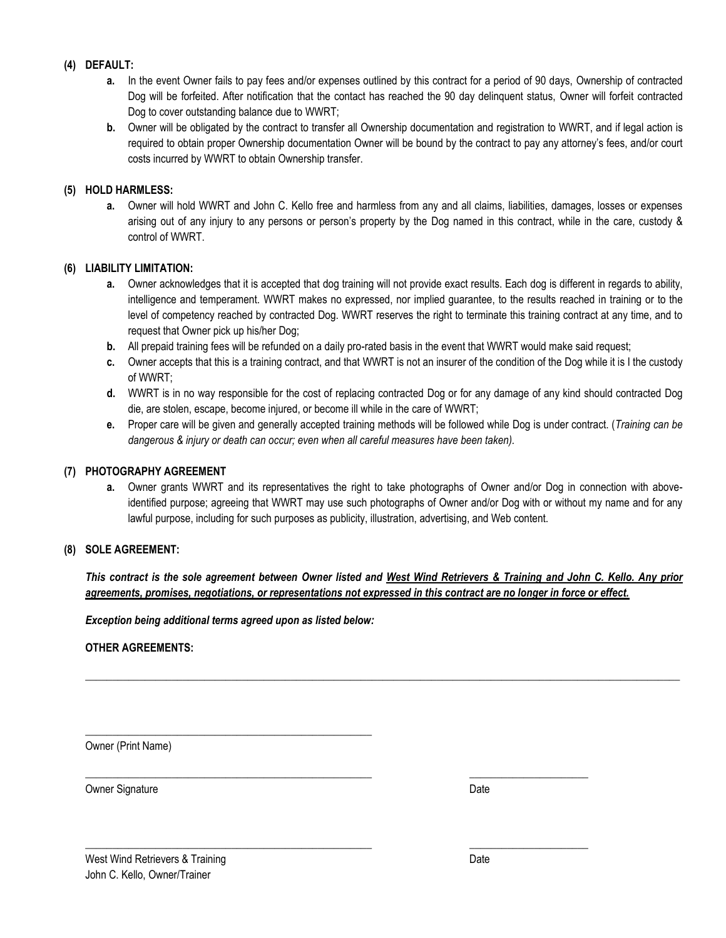### **(4) DEFAULT:**

- **a.** In the event Owner fails to pay fees and/or expenses outlined by this contract for a period of 90 days, Ownership of contracted Dog will be forfeited. After notification that the contact has reached the 90 day delinquent status, Owner will forfeit contracted Dog to cover outstanding balance due to WWRT;
- **b.** Owner will be obligated by the contract to transfer all Ownership documentation and registration to WWRT, and if legal action is required to obtain proper Ownership documentation Owner will be bound by the contract to pay any attorney's fees, and/or court costs incurred by WWRT to obtain Ownership transfer.

#### **(5) HOLD HARMLESS:**

**a.** Owner will hold WWRT and John C. Kello free and harmless from any and all claims, liabilities, damages, losses or expenses arising out of any injury to any persons or person's property by the Dog named in this contract, while in the care, custody & control of WWRT.

#### **(6) LIABILITY LIMITATION:**

- **a.** Owner acknowledges that it is accepted that dog training will not provide exact results. Each dog is different in regards to ability, intelligence and temperament. WWRT makes no expressed, nor implied guarantee, to the results reached in training or to the level of competency reached by contracted Dog. WWRT reserves the right to terminate this training contract at any time, and to request that Owner pick up his/her Dog;
- **b.** All prepaid training fees will be refunded on a daily pro-rated basis in the event that WWRT would make said request;
- **c.** Owner accepts that this is a training contract, and that WWRT is not an insurer of the condition of the Dog while it is I the custody of WWRT;
- **d.** WWRT is in no way responsible for the cost of replacing contracted Dog or for any damage of any kind should contracted Dog die, are stolen, escape, become injured, or become ill while in the care of WWRT;
- **e.** Proper care will be given and generally accepted training methods will be followed while Dog is under contract. (*Training can be dangerous & injury or death can occur; even when all careful measures have been taken).*

#### **(7) PHOTOGRAPHY AGREEMENT**

**a.** Owner grants WWRT and its representatives the right to take photographs of Owner and/or Dog in connection with aboveidentified purpose; agreeing that WWRT may use such photographs of Owner and/or Dog with or without my name and for any lawful purpose, including for such purposes as publicity, illustration, advertising, and Web content.

#### **(8) SOLE AGREEMENT:**

*This contract is the sole agreement between Owner listed and West Wind Retrievers & Training and John C. Kello. Any prior agreements, promises, negotiations, or representations not expressed in this contract are no longer in force or effect.* 

**\_\_\_\_\_\_\_\_\_\_\_\_\_\_\_\_\_\_\_\_\_\_\_\_\_\_\_\_\_\_\_\_\_\_\_\_\_\_\_\_\_\_\_\_\_\_\_\_\_\_\_\_\_\_\_\_\_\_\_\_\_\_\_\_\_\_\_\_\_\_\_\_\_\_\_\_\_\_\_\_\_\_\_\_\_\_\_\_\_\_\_\_\_\_\_\_\_\_\_\_\_\_\_\_\_\_\_\_\_\_**

\_\_\_\_\_\_\_\_\_\_\_\_\_\_\_\_\_\_\_\_\_\_\_\_\_\_\_\_\_\_\_\_\_\_\_\_\_\_\_\_\_\_\_\_\_\_\_\_\_\_\_\_\_ \_\_\_\_\_\_\_\_\_\_\_\_\_\_\_\_\_\_\_\_\_\_

\_\_\_\_\_\_\_\_\_\_\_\_\_\_\_\_\_\_\_\_\_\_\_\_\_\_\_\_\_\_\_\_\_\_\_\_\_\_\_\_\_\_\_\_\_\_\_\_\_\_\_\_\_ \_\_\_\_\_\_\_\_\_\_\_\_\_\_\_\_\_\_\_\_\_\_

*Exception being additional terms agreed upon as listed below:*

\_\_\_\_\_\_\_\_\_\_\_\_\_\_\_\_\_\_\_\_\_\_\_\_\_\_\_\_\_\_\_\_\_\_\_\_\_\_\_\_\_\_\_\_\_\_\_\_\_\_\_\_\_

#### **OTHER AGREEMENTS:**

Owner (Print Name)

Owner Signature